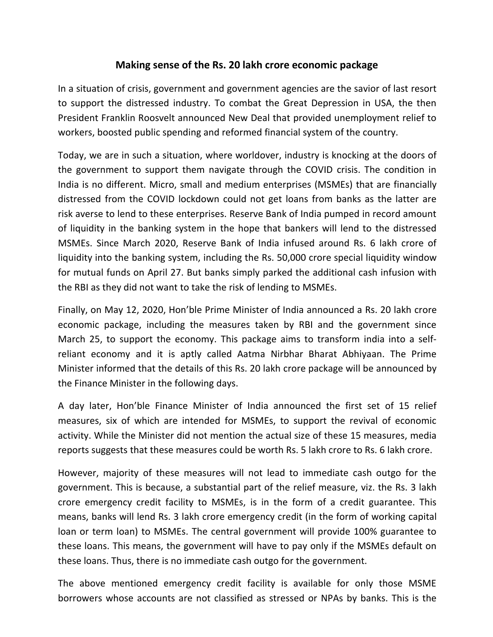## **Making sense of the Rs. 20 lakh crore economic package**

In a situation of crisis, government and government agencies are the savior of last resort to support the distressed industry. To combat the Great Depression in USA, the then President Franklin Roosvelt announced New Deal that provided unemployment relief to workers, boosted public spending and reformed financial system of the country.

Today, we are in such a situation, where worldover, industry is knocking at the doors of the government to support them navigate through the COVID crisis. The condition in India is no different. Micro, small and medium enterprises (MSMEs) that are financially distressed from the COVID lockdown could not get loans from banks as the latter are risk averse to lend to these enterprises. Reserve Bank of India pumped in record amount of liquidity in the banking system in the hope that bankers will lend to the distressed MSMEs. Since March 2020, Reserve Bank of India infused around Rs. 6 lakh crore of liquidity into the banking system, including the Rs. 50,000 crore special liquidity window for mutual funds on April 27. But banks simply parked the additional cash infusion with the RBI as they did not want to take the risk of lending to MSMEs.

Finally, on May 12, 2020, Hon'ble Prime Minister of India announced a Rs. 20 lakh crore economic package, including the measures taken by RBI and the government since March 25, to support the economy. This package aims to transform india into a selfreliant economy and it is aptly called Aatma Nirbhar Bharat Abhiyaan. The Prime Minister informed that the details of this Rs. 20 lakh crore package will be announced by the Finance Minister in the following days.

A day later, Hon'ble Finance Minister of India announced the first set of 15 relief measures, six of which are intended for MSMEs, to support the revival of economic activity. While the Minister did not mention the actual size of these 15 measures, media reports suggests that these measures could be worth Rs. 5 lakh crore to Rs. 6 lakh crore.

However, majority of these measures will not lead to immediate cash outgo for the government. This is because, a substantial part of the relief measure, viz. the Rs. 3 lakh crore emergency credit facility to MSMEs, is in the form of a credit guarantee. This means, banks will lend Rs. 3 lakh crore emergency credit (in the form of working capital loan or term loan) to MSMEs. The central government will provide 100% guarantee to these loans. This means, the government will have to pay only if the MSMEs default on these loans. Thus, there is no immediate cash outgo for the government.

The above mentioned emergency credit facility is available for only those MSME borrowers whose accounts are not classified as stressed or NPAs by banks. This is the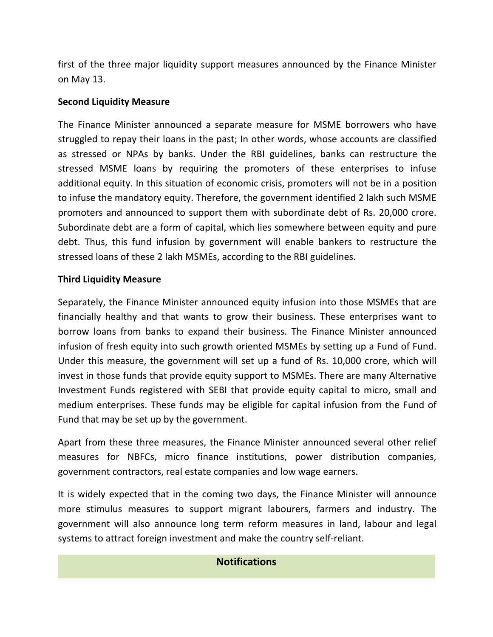first of the three major liquidity support measures announced by the Finance Minister on May 13.

### **Second Liquidity Measure**

The Finance Minister announced a separate measure for MSME borrowers who have struggled to repay their loans in the past; In other words, whose accounts are classified as stressed or NPAs by banks. Under the RBI guidelines, banks can restructure the stressed MSME loans by requiring the promoters of these enterprises to infuse additional equity. In this situation of economic crisis, promoters will not be in a position to infuse the mandatory equity. Therefore, the government identified 2 lakh such MSME promoters and announced to support them with subordinate debt of Rs. 20,000 crore. Subordinate debt are a form of capital, which lies somewhere between equity and pure debt. Thus, this fund infusion by government will enable bankers to restructure the stressed loans of these 2 lakh MSMEs, according to the RBI guidelines.

### **Third Liquidity Measure**

Separately, the Finance Minister announced equity infusion into those MSMEs that are financially healthy and that wants to grow their business. These enterprises want to borrow loans from banks to expand their business. The Finance Minister announced infusion of fresh equity into such growth oriented MSMEs by setting up a Fund of Fund. Under this measure, the government will set up a fund of Rs. 10,000 crore, which will invest in those funds that provide equity support to MSMEs. There are many Alternative Investment Funds registered with SEBI that provide equity capital to micro, small and medium enterprises. These funds may be eligible for capital infusion from the Fund of Fund that may be set up by the government.

Apart from these three measures, the Finance Minister announced several other relief measures for NBFCs, micro finance institutions, power distribution companies, government contractors, real estate companies and low wage earners.

It is widely expected that in the coming two days, the Finance Minister will announce more stimulus measures to support migrant labourers, farmers and industry. The government will also announce long term reform measures in land, labour and legal systems to attract foreign investment and make the country self-reliant.

## **Notifications**